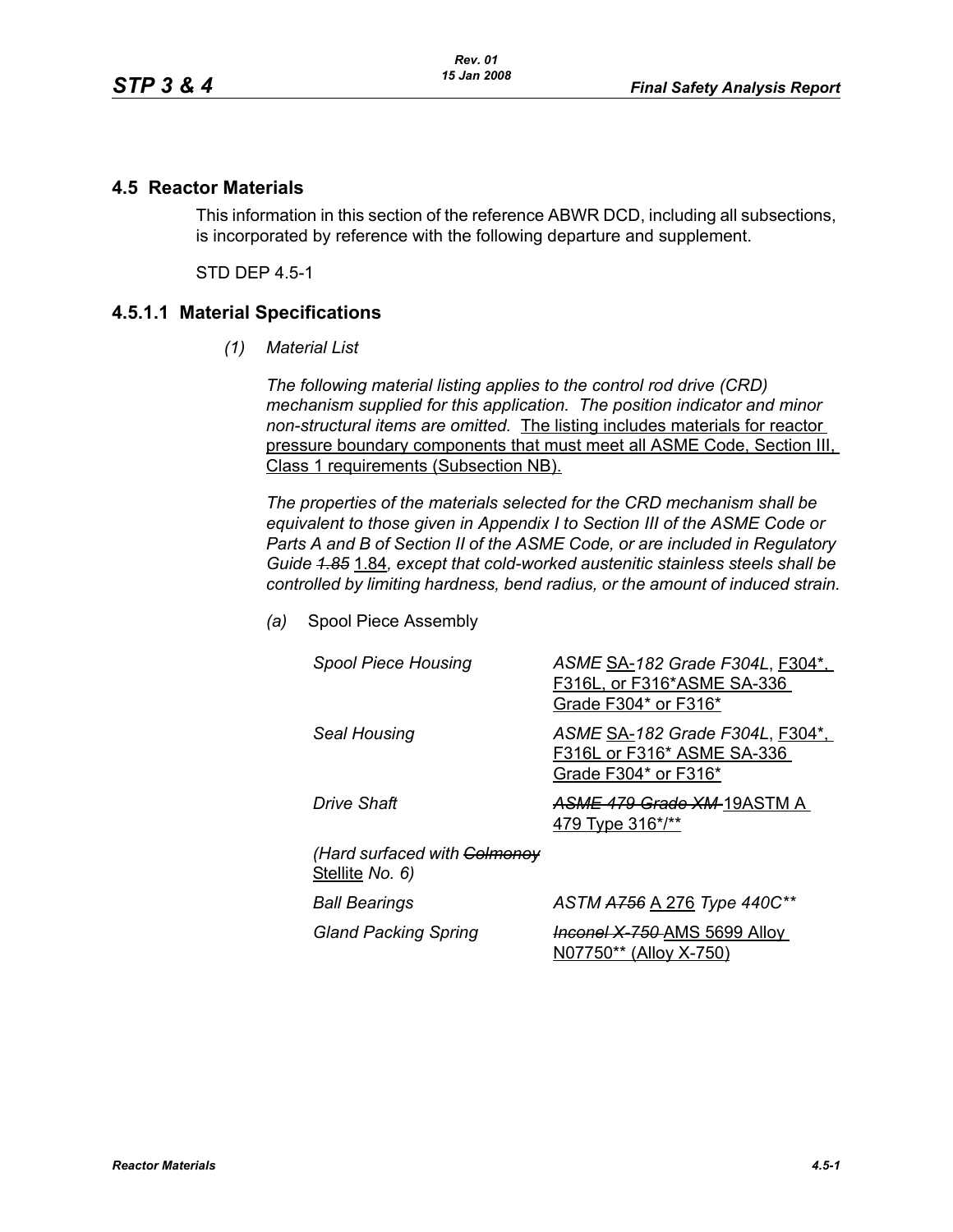### **4.5 Reactor Materials**

This information in this section of the reference ABWR DCD, including all subsections, is incorporated by reference with the following departure and supplement.

STD DEP 4.5-1

### **4.5.1.1 Material Specifications**

*(1) Material List*

*The following material listing applies to the control rod drive (CRD) mechanism supplied for this application. The position indicator and minor non-structural items are omitted.* The listing includes materials for reactor pressure boundary components that must meet all ASME Code, Section III, Class 1 requirements (Subsection NB).

*The properties of the materials selected for the CRD mechanism shall be equivalent to those given in Appendix I to Section III of the ASME Code or Parts A and B of Section II of the ASME Code, or are included in Regulatory Guide 1.85* 1.84*, except that cold-worked austenitic stainless steels shall be controlled by limiting hardness, bend radius, or the amount of induced strain.*

*(a)* Spool Piece Assembly

| <b>Spool Piece Housing</b>                      | ASME SA-182 Grade F304L, F304*,<br>F316L, or F316*ASME SA-336<br>Grade F304* or F316* |
|-------------------------------------------------|---------------------------------------------------------------------------------------|
| Seal Housing                                    | ASME SA-182 Grade F304L, F304*,<br>F316L or F316* ASME SA-336<br>Grade F304* or F316* |
| Drive Shaft                                     | ASME 479 Grade XM-19ASTM A<br>479 Type 316*/**                                        |
| (Hard surfaced with Colmonoy<br>Stellite No. 6) |                                                                                       |
| <b>Ball Bearings</b>                            | ASTM A756 A 276 Type 440C**                                                           |
| <b>Gland Packing Spring</b>                     | <b>Inconel X-750-AMS 5699 Alloy</b><br>N07750** (Alloy X-750)                         |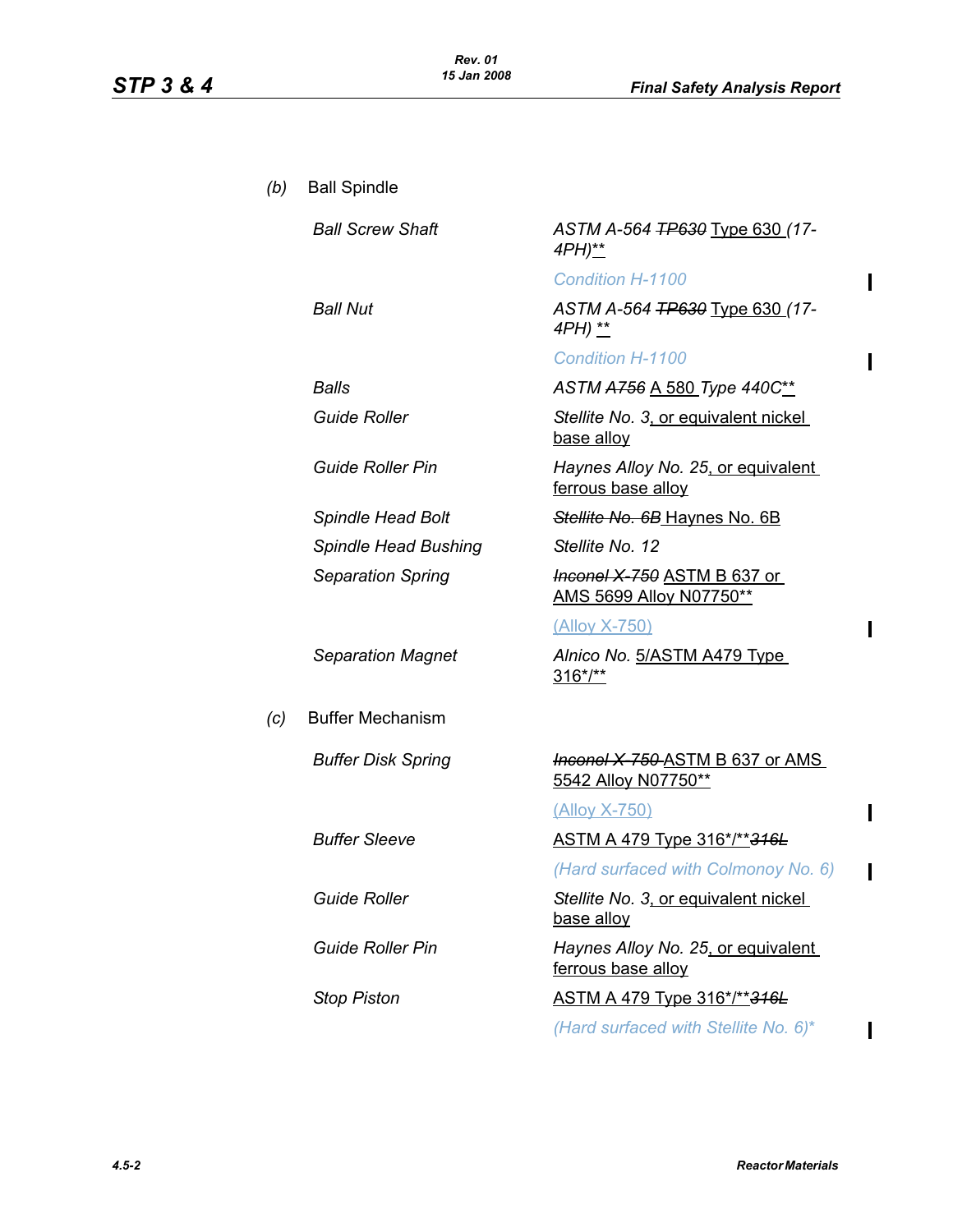$\mathbf{I}$ 

 $\overline{\phantom{a}}$ 

 $\mathbf I$ 

 $\mathbf{I}$ 

 $\overline{\phantom{a}}$ 

 $\overline{\phantom{a}}$ 

| (b) | <b>Ball Spindle</b>         |                                                                     |
|-----|-----------------------------|---------------------------------------------------------------------|
|     | <b>Ball Screw Shaft</b>     | ASTM A-564 <del>TP630</del> Type 630 (17-<br>4PH)**                 |
|     |                             | <b>Condition H-1100</b>                                             |
|     | <b>Ball Nut</b>             | ASTM A-564 <del>TP630</del> Type 630 (17-<br>4PH) **                |
|     |                             | <b>Condition H-1100</b>                                             |
|     | Balls                       | ASTM A756 A 580 Type 440C**                                         |
|     | <b>Guide Roller</b>         | Stellite No. 3, or equivalent nickel<br>base alloy                  |
|     | <b>Guide Roller Pin</b>     | Haynes Alloy No. 25, or equivalent<br>ferrous base alloy            |
|     | <b>Spindle Head Bolt</b>    | Stellite No. 6B Haynes No. 6B                                       |
|     | <b>Spindle Head Bushing</b> | Stellite No. 12                                                     |
|     | <b>Separation Spring</b>    | <b>Heenel X 750 ASTM B 637 or</b><br><b>AMS 5699 Alloy N07750**</b> |
|     |                             | <u>(Alloy X-750)</u>                                                |
|     | <b>Separation Magnet</b>    | Alnico No. 5/ASTM A479 Type<br>$316*/**$                            |
| (c) | <b>Buffer Mechanism</b>     |                                                                     |
|     | <b>Buffer Disk Spring</b>   | <b>Inconel X 750-ASTM B 637 or AMS</b><br>5542 Alloy N07750**       |
|     |                             | <u>(Alloy X-750)</u>                                                |
|     | <b>Buffer Sleeve</b>        | <u>ASTM A 479 Type 316*/**316L</u>                                  |
|     |                             | (Hard surfaced with Colmonoy No. 6)                                 |
|     | <b>Guide Roller</b>         | Stellite No. 3, or equivalent nickel<br>base alloy                  |
|     | <b>Guide Roller Pin</b>     | Haynes Alloy No. 25, or equivalent<br>ferrous base alloy            |
|     | <b>Stop Piston</b>          | <u>ASTM A 479 Type 316*/**</u> 316L                                 |
|     |                             | (Hard surfaced with Stellite No. 6)*                                |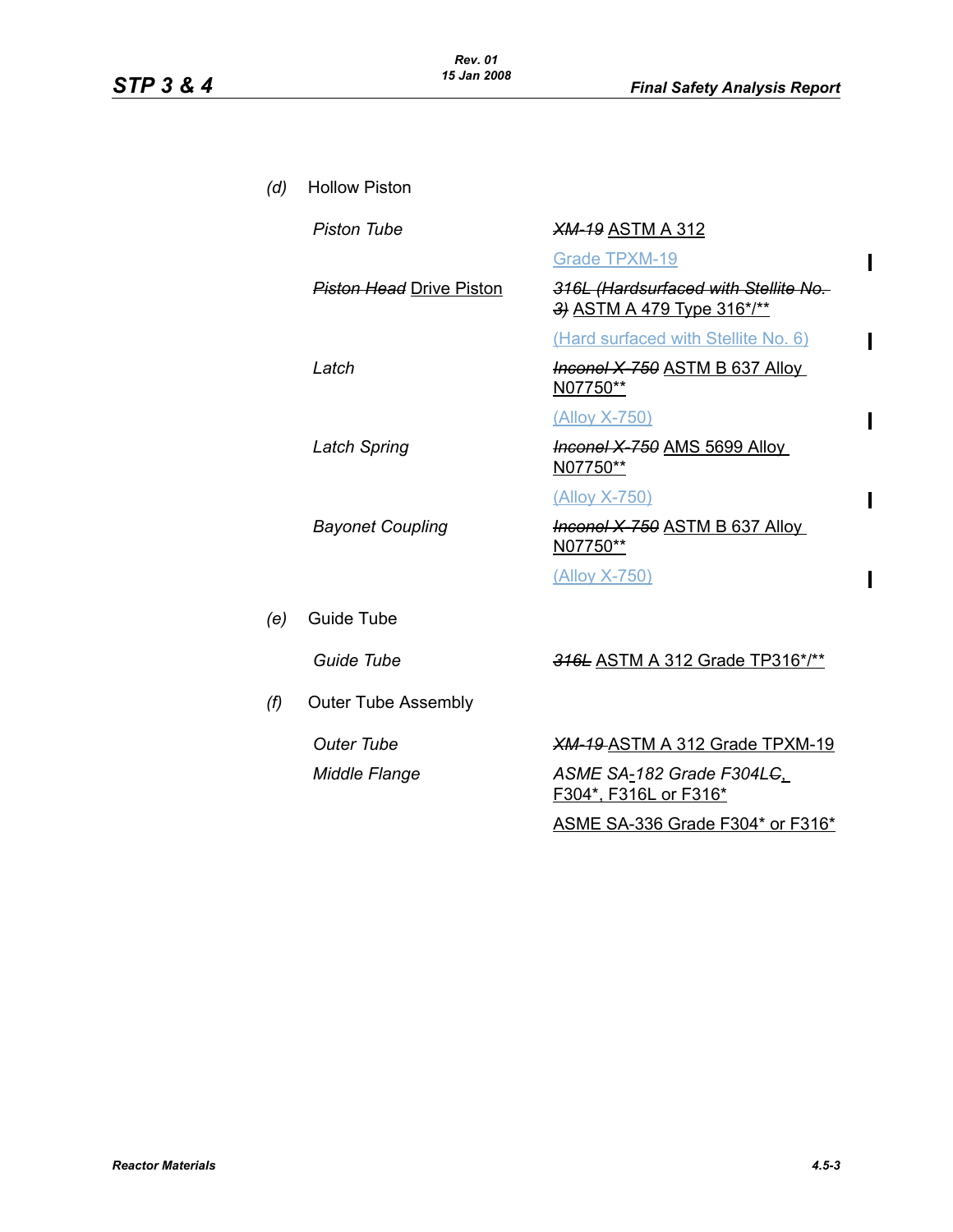$\mathbf I$ 

 $\mathbf{I}$ 

 $\mathbf{I}$ 

 $\mathbf I$ 

 $\mathbf{I}$ 

| (d) | <b>Hollow Piston</b>            |                                                                    |
|-----|---------------------------------|--------------------------------------------------------------------|
|     | <b>Piston Tube</b>              | <b>XM-19 ASTM A 312</b>                                            |
|     |                                 | <b>Grade TPXM-19</b>                                               |
|     | <b>Piston Head</b> Drive Piston | 316L (Hardsurfaced with Stellite No.<br>3) ASTM A 479 Type 316*/** |
|     |                                 | (Hard surfaced with Stellite No. 6)                                |
|     | Latch                           | <b>Inconel X 750 ASTM B 637 Alloy</b><br>N07750**                  |
|     |                                 | (Alloy X-750)                                                      |
|     | <b>Latch Spring</b>             | <b>Inconel X 750 AMS 5699 Alloy</b><br>N07750**                    |
|     |                                 | (Alloy X-750)                                                      |
|     | <b>Bayonet Coupling</b>         | Inconel X-750 ASTM B 637 Alloy<br>N07750**                         |
|     |                                 | <u>(Alloy X-750)</u>                                               |
| (e) | Guide Tube                      |                                                                    |
|     | Guide Tube                      | 316L ASTM A 312 Grade TP316*/**                                    |
| (f) | <b>Outer Tube Assembly</b>      |                                                                    |
|     | <b>Outer Tube</b>               | <b>XM-19-ASTM A 312 Grade TPXM-19</b>                              |
|     | <b>Middle Flange</b>            | ASME SA-182 Grade F304L <del>C</del> ,<br>F304*, F316L or F316*    |
|     |                                 | ASME SA-336 Grade F304* or F316*                                   |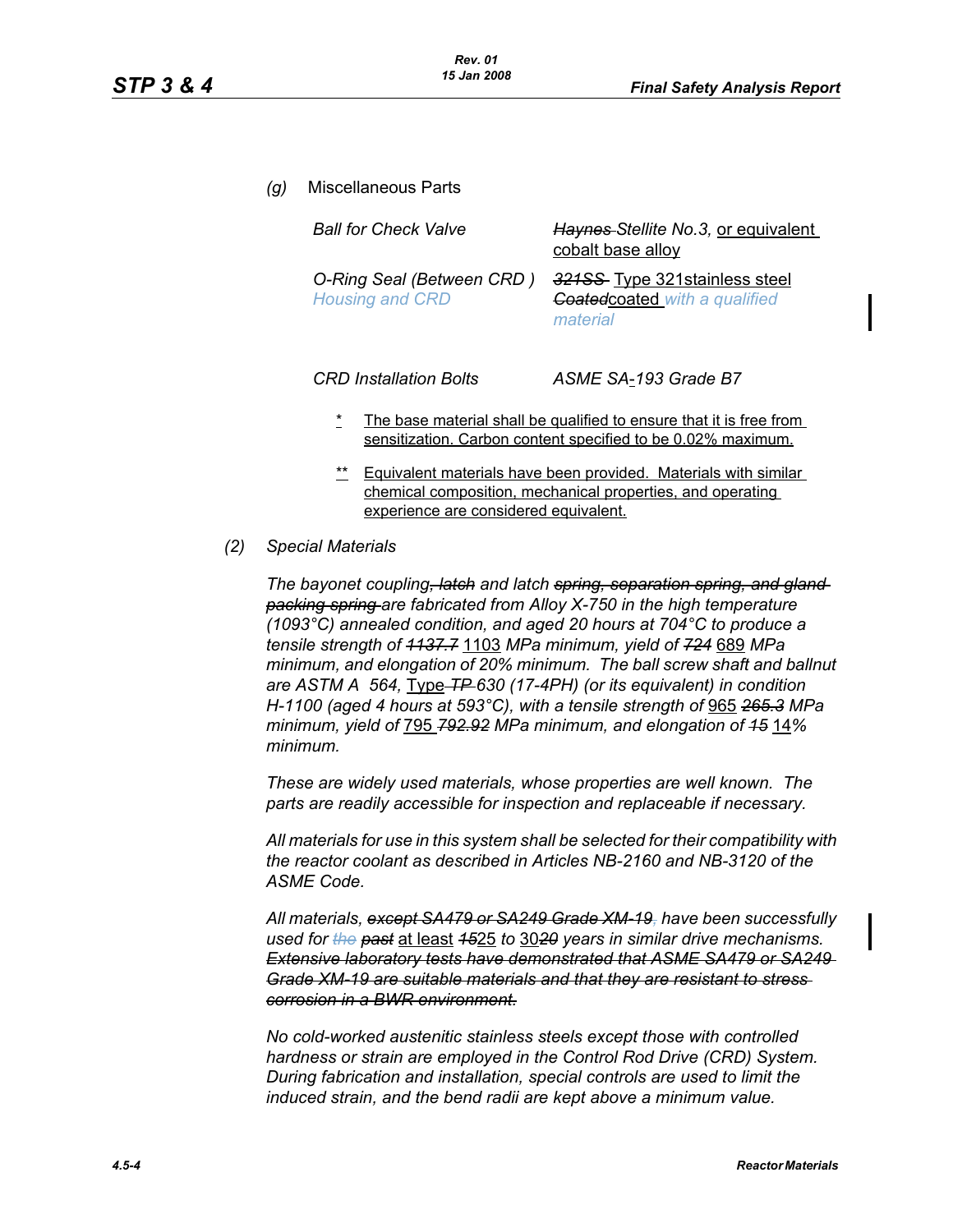*(g)* Miscellaneous Parts *Ball for Check Valve Haynes Stellite No.3,* or equivalent cobalt base alloy *O-Ring Seal (Between CRD ) Housing and CRD 321SS* Type 321stainless steel *Coated*coated *with a qualified material*

*CRD Installation Bolts ASME SA*-*193 Grade B7*

- The base material shall be qualified to ensure that it is free from sensitization. Carbon content specified to be 0.02% maximum.
- \*\* Equivalent materials have been provided. Materials with similar chemical composition, mechanical properties, and operating experience are considered equivalent.

#### *(2) Special Materials*

*The bayonet coupling, latch and latch spring, separation spring, and gland packing spring are fabricated from Alloy X-750 in the high temperature (1093°C) annealed condition, and aged 20 hours at 704°C to produce a tensile strength of 1137.7* 1103 *MPa minimum, yield of 724* 689 *MPa minimum, and elongation of 20% minimum. The ball screw shaft and ballnut are ASTM A 564,* Type *TP 630 (17-4PH) (or its equivalent) in condition H-1100 (aged 4 hours at 593°C), with a tensile strength of* 965 *265.3 MPa minimum, yield of* 795 *792.92 MPa minimum, and elongation of 15* 14*% minimum.*

*These are widely used materials, whose properties are well known. The parts are readily accessible for inspection and replaceable if necessary.*

*All materials for use in this system shall be selected for their compatibility with the reactor coolant as described in Articles NB-2160 and NB-3120 of the ASME Code.*

*All materials, except SA479 or SA249 Grade XM-19, have been successfully used for the past* at least *15*25 *to* 30*20 years in similar drive mechanisms. Extensive laboratory tests have demonstrated that ASME SA479 or SA249 Grade XM-19 are suitable materials and that they are resistant to stress corrosion in a BWR environment.*

*No cold-worked austenitic stainless steels except those with controlled hardness or strain are employed in the Control Rod Drive (CRD) System. During fabrication and installation, special controls are used to limit the induced strain, and the bend radii are kept above a minimum value.*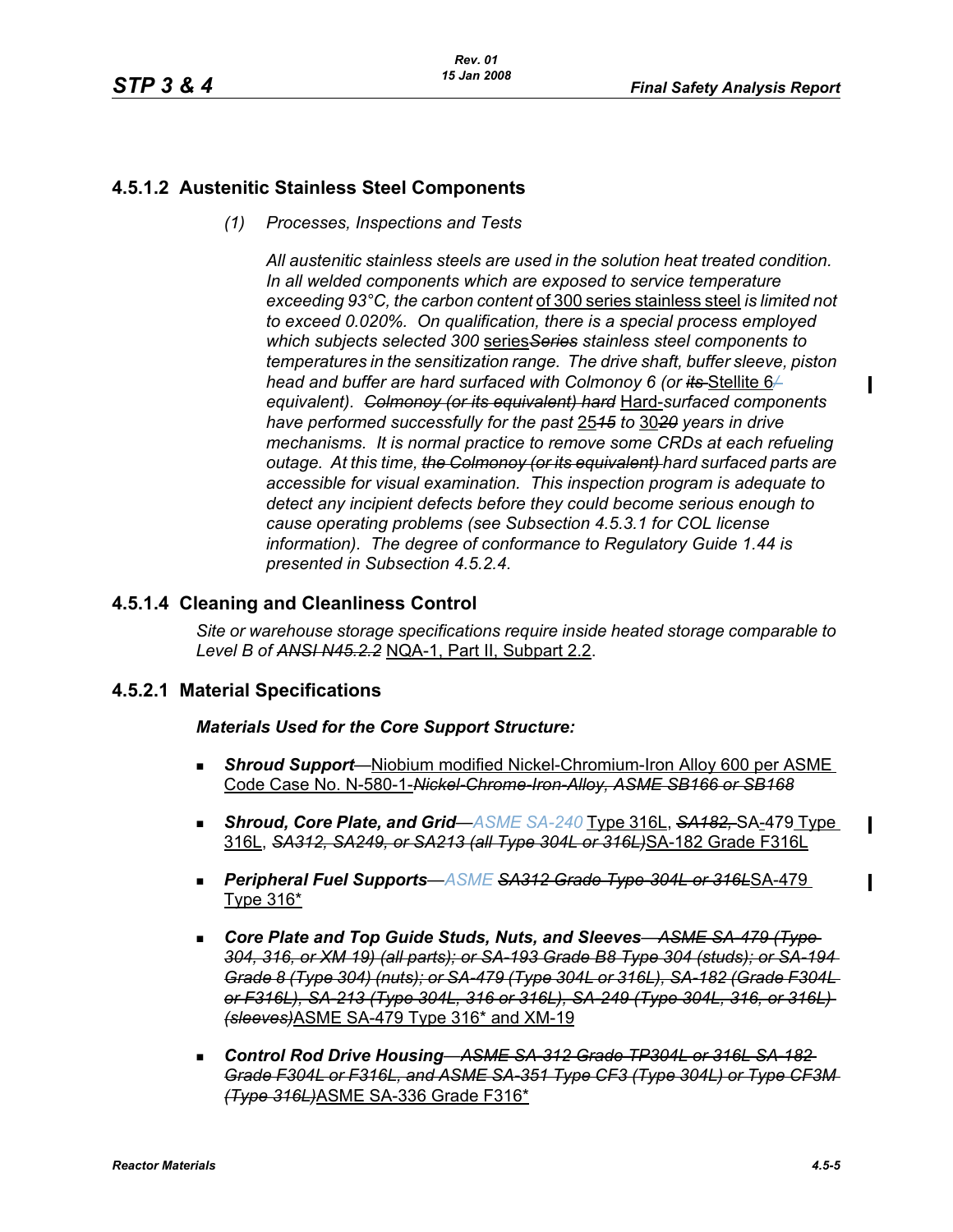П

# **4.5.1.2 Austenitic Stainless Steel Components**

*(1) Processes, Inspections and Tests*

*All austenitic stainless steels are used in the solution heat treated condition. In all welded components which are exposed to service temperature exceeding 93°C, the carbon content* of 300 series stainless steel *is limited not to exceed 0.020%. On qualification, there is a special process employed which subjects selected 300* series*Series stainless steel components to temperatures in the sensitization range. The drive shaft, buffer sleeve, piston head and buffer are hard surfaced with Colmonoy 6 (or its* Stellite 6<sup>2</sup> *equivalent). Colmonoy (or its equivalent) hard* Hard-*surfaced components have performed successfully for the past* 25*15 to* 30*20 years in drive mechanisms. It is normal practice to remove some CRDs at each refueling outage. At this time, the Colmonoy (or its equivalent) hard surfaced parts are accessible for visual examination. This inspection program is adequate to detect any incipient defects before they could become serious enough to cause operating problems (see Subsection 4.5.3.1 for COL license information). The degree of conformance to Regulatory Guide 1.44 is presented in Subsection 4.5.2.4.*

# **4.5.1.4 Cleaning and Cleanliness Control**

*Site or warehouse storage specifications require inside heated storage comparable to Level B of ANSI N45.2.2* NQA-1, Part II, Subpart 2.2.

### **4.5.2.1 Material Specifications**

*Materials Used for the Core Support Structure:*

- *Shroud Support*—Niobium modified Nickel-Chromium-Iron Alloy 600 per ASME Code Case No. N-580-1-*Nickel-Chrome-Iron-Alloy, ASME SB166 or SB168*
- **Bhroud, Core Plate, and Grid—**ASME SA-240 **Type 316L, SA182, SA-479 Type** 316L, *SA312, SA249, or SA213 (all Type 304L or 316L)*SA-182 Grade F316L
- *Peripheral Fuel Supports*—*ASME SA312 Grade Type-304L or 316L*SA-479 Type 316\*
- Core Plate and Top Guide Studs, Nuts, and Sleeves– ASME SA-479 (Type-*304, 316, or XM 19) (all parts); or SA-193 Grade B8 Type 304 (studs); or SA-194 Grade 8 (Type 304) (nuts); or SA-479 (Type 304L or 316L), SA-182 (Grade F304L or F316L), SA-213 (Type 304L, 316 or 316L), SA-249 (Type 304L, 316, or 316L) (sleeves)*ASME SA-479 Type 316\* and XM-19
- *Control Rod Drive Housing*—*ASME SA-312 Grade TP304L or 316L SA-182 Grade F304L or F316L, and ASME SA-351 Type CF3 (Type 304L) or Type CF3M (Type 316L)*ASME SA-336 Grade F316\*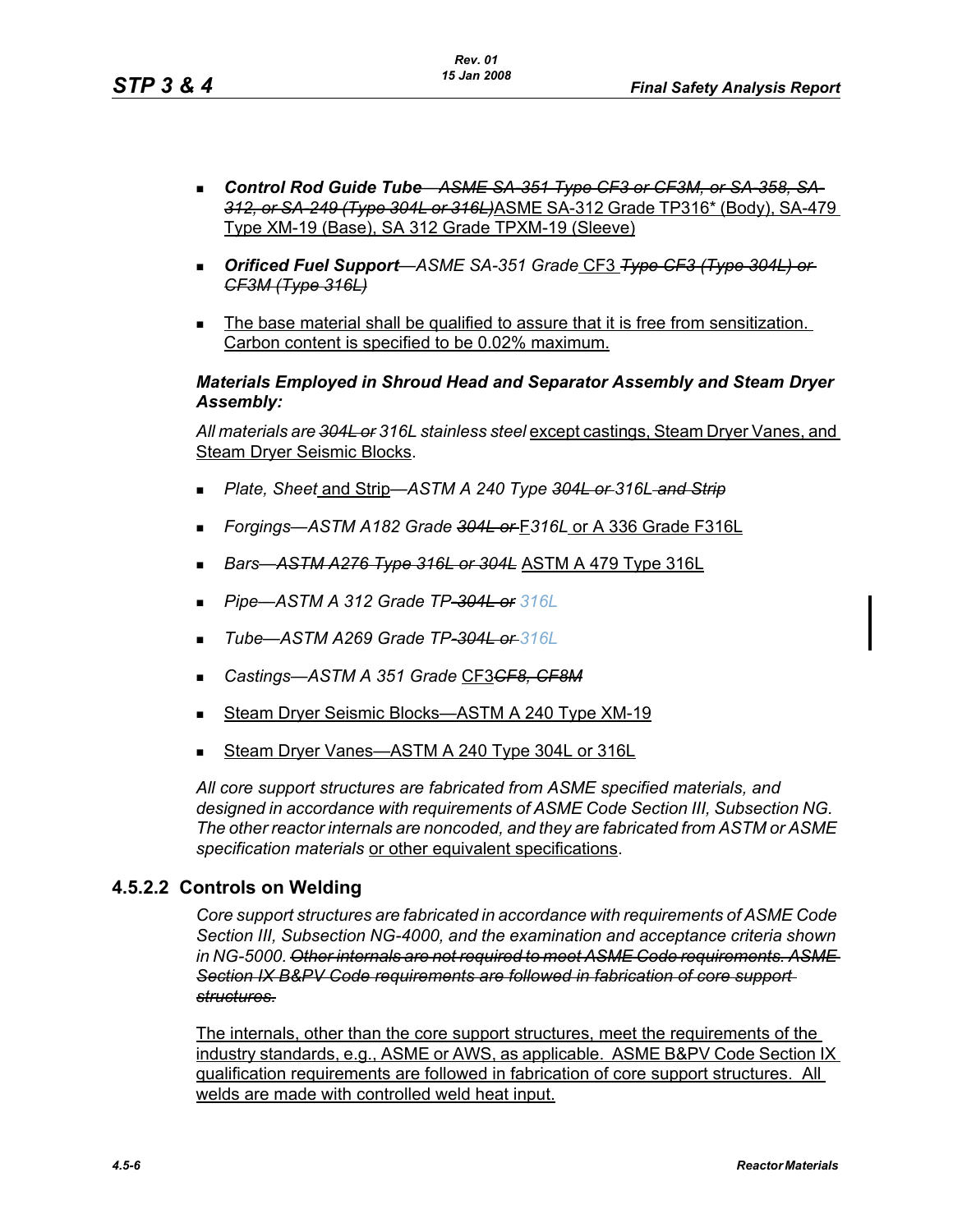- *Control Rod Guide Tube*—*ASME SA-351 Type CF3 or CF3M, or SA-358, SA-312, or SA-249 (Type 304L or 316L)*ASME SA-312 Grade TP316\* (Body), SA-479 Type XM-19 (Base), SA 312 Grade TPXM-19 (Sleeve)
- *Orificed Fuel Support*—*ASME SA-351 Grade* CF3 *Type CF3 (Type 304L) or CF3M (Type 316L)*
- The base material shall be qualified to assure that it is free from sensitization. Carbon content is specified to be 0.02% maximum.

### *Materials Employed in Shroud Head and Separator Assembly and Steam Dryer Assembly:*

*All materials are 304L or 316L stainless steel* except castings, Steam Dryer Vanes, and Steam Dryer Seismic Blocks.

- *Plate, Sheet* and Strip—*ASTM A 240 Type 304L or 316L and Strip*
- *Forgings—ASTM A182 Grade 304L or* F*316L* or A 336 Grade F316L
- *Bars*—*ASTM A276 Type 316L or 304L* ASTM A 479 Type 316L
- *Pipe*—*ASTM A 312 Grade TP-304L or 316L*
- *Tube*—*ASTM A269 Grade TP-304L or 316L*
- *Castings—ASTM A 351 Grade* CF3*CF8, CF8M*
- Steam Dryer Seismic Blocks—ASTM A 240 Type XM-19
- Steam Dryer Vanes—ASTM A 240 Type 304L or 316L

*All core support structures are fabricated from ASME specified materials, and designed in accordance with requirements of ASME Code Section III, Subsection NG. The other reactor internals are noncoded, and they are fabricated from ASTM or ASME specification materials* or other equivalent specifications.

### **4.5.2.2 Controls on Welding**

*Core support structures are fabricated in accordance with requirements of ASME Code Section III, Subsection NG-4000, and the examination and acceptance criteria shown in NG-5000. Other internals are not required to meet ASME Code requirements. ASME Section IX B&PV Code requirements are followed in fabrication of core support structures.*

The internals, other than the core support structures, meet the requirements of the industry standards, e.g., ASME or AWS, as applicable. ASME B&PV Code Section IX qualification requirements are followed in fabrication of core support structures. All welds are made with controlled weld heat input.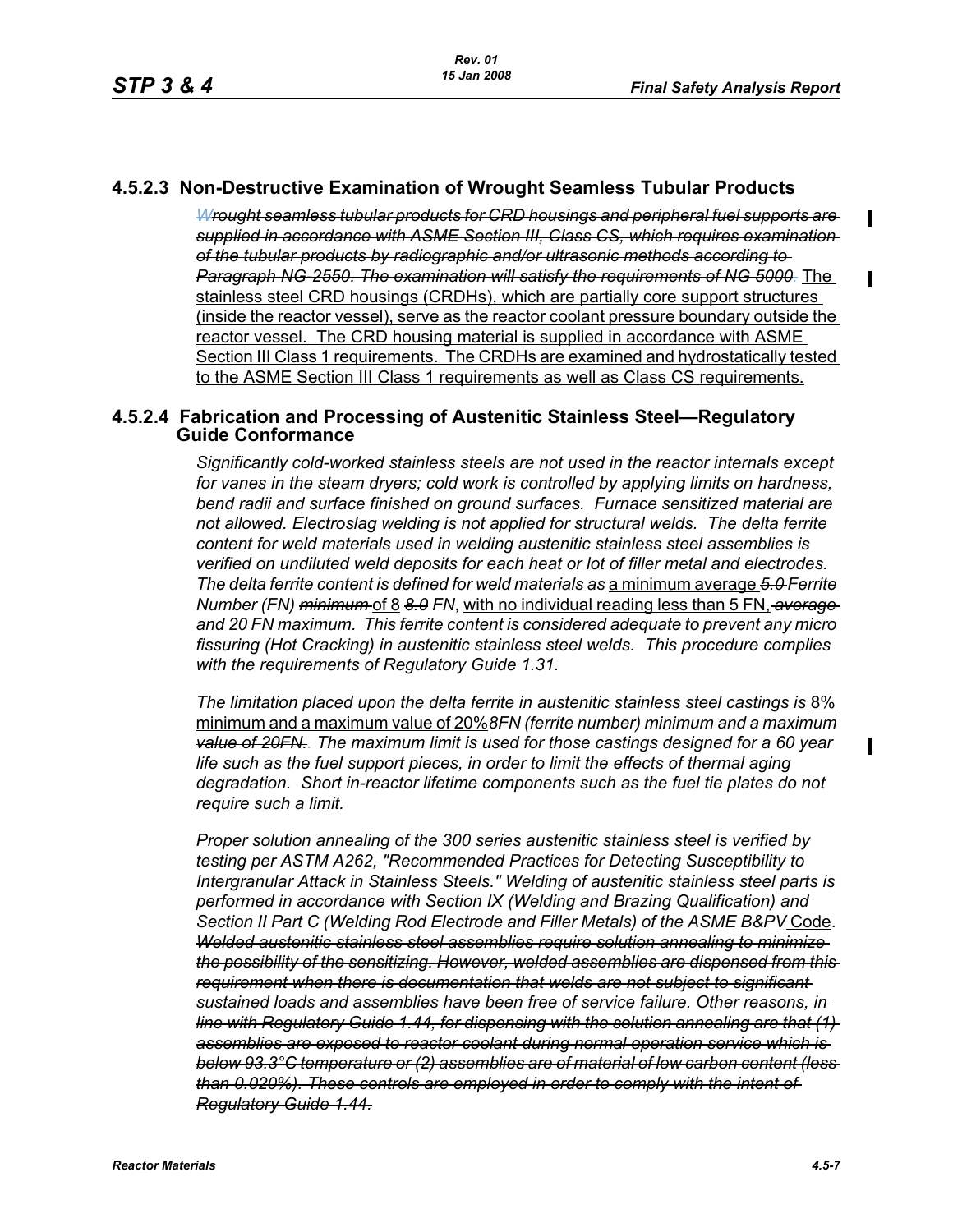# **4.5.2.3 Non-Destructive Examination of Wrought Seamless Tubular Products**

*Wrought seamless tubular products for CRD housings and peripheral fuel supports are supplied in accordance with ASME Section III, Class CS, which requires examination of the tubular products by radiographic and/or ultrasonic methods according to Paragraph NG-2550. The examination will satisfy the requirements of NG 5000.* The stainless steel CRD housings (CRDHs), which are partially core support structures (inside the reactor vessel), serve as the reactor coolant pressure boundary outside the reactor vessel. The CRD housing material is supplied in accordance with ASME Section III Class 1 requirements. The CRDHs are examined and hydrostatically tested to the ASME Section III Class 1 requirements as well as Class CS requirements.

### **4.5.2.4 Fabrication and Processing of Austenitic Stainless Steel—Regulatory Guide Conformance**

*Significantly cold-worked stainless steels are not used in the reactor internals except for vanes in the steam dryers; cold work is controlled by applying limits on hardness, bend radii and surface finished on ground surfaces. Furnace sensitized material are not allowed. Electroslag welding is not applied for structural welds. The delta ferrite content for weld materials used in welding austenitic stainless steel assemblies is verified on undiluted weld deposits for each heat or lot of filler metal and electrodes. The delta ferrite content is defined for weld materials as* a minimum average *5.0 Ferrite Number (FN) minimum* of 8 *8.0 FN*, with no individual reading less than 5 FN, *average and 20 FN maximum. This ferrite content is considered adequate to prevent any micro fissuring (Hot Cracking) in austenitic stainless steel welds. This procedure complies with the requirements of Regulatory Guide 1.31.*

*The limitation placed upon the delta ferrite in austenitic stainless steel castings is* 8% minimum and a maximum value of 20%*8FN (ferrite number) minimum and a maximum value of 20FN.. The maximum limit is used for those castings designed for a 60 year life such as the fuel support pieces, in order to limit the effects of thermal aging degradation. Short in-reactor lifetime components such as the fuel tie plates do not require such a limit.*

*Proper solution annealing of the 300 series austenitic stainless steel is verified by testing per ASTM A262, "Recommended Practices for Detecting Susceptibility to Intergranular Attack in Stainless Steels." Welding of austenitic stainless steel parts is performed in accordance with Section IX (Welding and Brazing Qualification) and Section II Part C (Welding Rod Electrode and Filler Metals) of the ASME B&PV* Code. *Welded austenitic stainless steel assemblies require solution annealing to minimize the possibility of the sensitizing. However, welded assemblies are dispensed from this requirement when there is documentation that welds are not subject to significant sustained loads and assemblies have been free of service failure. Other reasons, in line with Regulatory Guide 1.44, for dispensing with the solution annealing are that (1) assemblies are exposed to reactor coolant during normal operation service which is below 93.3°C temperature or (2) assemblies are of material of low carbon content (less than 0.020%). These controls are employed in order to comply with the intent of Regulatory Guide 1.44.*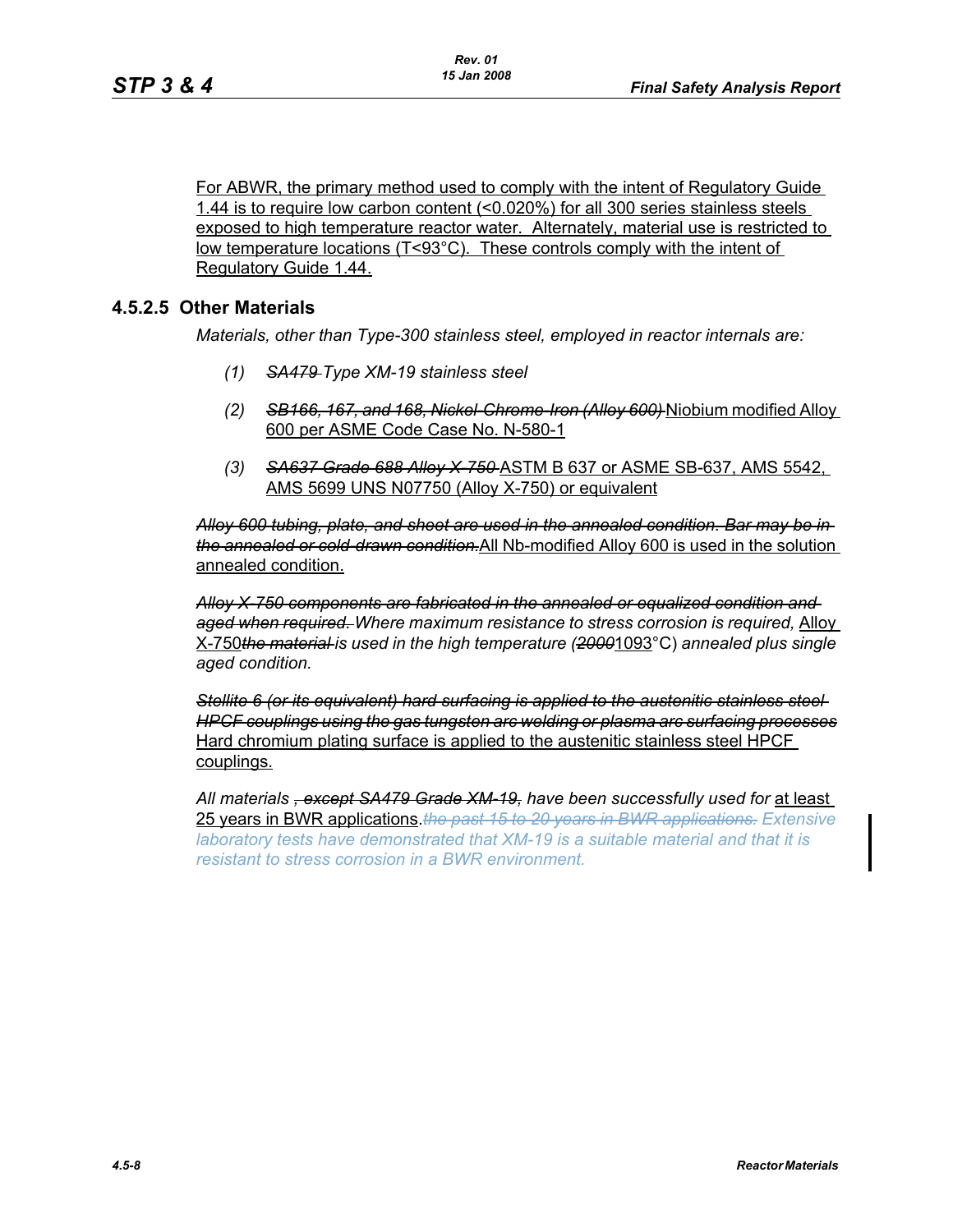For ABWR, the primary method used to comply with the intent of Regulatory Guide 1.44 is to require low carbon content (<0.020%) for all 300 series stainless steels exposed to high temperature reactor water. Alternately, material use is restricted to low temperature locations (T<93°C). These controls comply with the intent of Regulatory Guide 1.44.

# **4.5.2.5 Other Materials**

*Materials, other than Type-300 stainless steel, employed in reactor internals are:*

- *(1) SA479 Type XM-19 stainless steel*
- *(2) SB166, 167, and 168, Nickel-Chrome-Iron (Alloy 600)* Niobium modified Alloy 600 per ASME Code Case No. N-580-1
- *(3) SA637 Grade 688 Alloy X-750* ASTM B 637 or ASME SB-637, AMS 5542, AMS 5699 UNS N07750 (Alloy X-750) or equivalent

*Alloy 600 tubing, plate, and sheet are used in the annealed condition. Bar may be in the annealed or cold-drawn condition.*All Nb-modified Alloy 600 is used in the solution annealed condition.

*Alloy X-750 components are fabricated in the annealed or equalized condition and aged when required. Where maximum resistance to stress corrosion is required,* Alloy X-750*the material is used in the high temperature (2000*1093°C) *annealed plus single aged condition.*

*Stellite 6 (or its equivalent) hard surfacing is applied to the austenitic stainless steel HPCF couplings using the gas tungsten arc welding or plasma arc surfacing processes* Hard chromium plating surface is applied to the austenitic stainless steel HPCF couplings.

*All materials , except SA479 Grade XM-19, have been successfully used for* at least 25 years in BWR applications.*the past 15 to 20 years in BWR applications. Extensive laboratory tests have demonstrated that XM-19 is a suitable material and that it is resistant to stress corrosion in a BWR environment.*